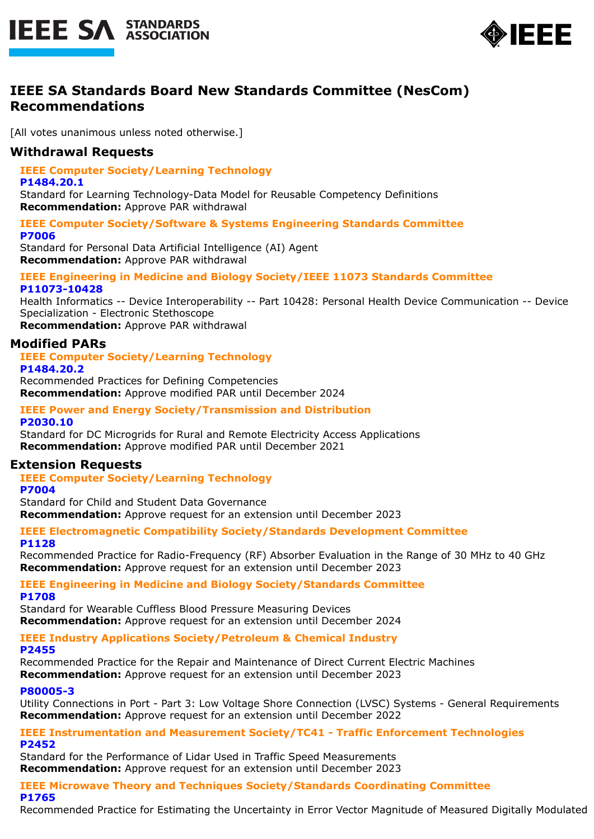



# **IEEE SA Standards Board New Standards Committee (NesCom) Recommendations**

[All votes unanimous unless noted otherwise.]

## **Withdrawal Requests**

**IEEE Computer Society/Learning Technology**

#### **P1484.20.1**

Standard for Learning Technology-Data Model for Reusable Competency Definitions **Recommendation:** Approve PAR withdrawal

#### **IEEE Computer Society/Software & Systems Engineering Standards Committee P7006**

Standard for Personal Data Artificial Intelligence (AI) Agent **Recommendation:** Approve PAR withdrawal

#### **IEEE Engineering in Medicine and Biology Society/IEEE 11073 Standards Committee P11073-10428**

Health Informatics -- Device Interoperability -- Part 10428: Personal Health Device Communication -- Device Specialization - Electronic Stethoscope

**Recommendation:** Approve PAR withdrawal

## **Modified PARs**

**IEEE Computer Society/Learning Technology P1484.20.2**

Recommended Practices for Defining Competencies **Recommendation:** Approve modified PAR until December 2024

### **IEEE Power and Energy Society/Transmission and Distribution P2030.10**

Standard for DC Microgrids for Rural and Remote Electricity Access Applications **Recommendation:** Approve modified PAR until December 2021

## **Extension Requests**

**IEEE Computer Society/Learning Technology**

#### **P7004**

Standard for Child and Student Data Governance **Recommendation:** Approve request for an extension until December 2023

#### **IEEE Electromagnetic Compatibility Society/Standards Development Committee P1128**

Recommended Practice for Radio-Frequency (RF) Absorber Evaluation in the Range of 30 MHz to 40 GHz **Recommendation:** Approve request for an extension until December 2023

#### **IEEE Engineering in Medicine and Biology Society/Standards Committee P1708**

Standard for Wearable Cuffless Blood Pressure Measuring Devices **Recommendation:** Approve request for an extension until December 2024

#### **IEEE Industry Applications Society/Petroleum & Chemical Industry P2455**

Recommended Practice for the Repair and Maintenance of Direct Current Electric Machines **Recommendation:** Approve request for an extension until December 2023

### **P80005-3**

Utility Connections in Port - Part 3: Low Voltage Shore Connection (LVSC) Systems - General Requirements **Recommendation:** Approve request for an extension until December 2022

#### **IEEE Instrumentation and Measurement Society/TC41 - Traffic Enforcement Technologies P2452**

Standard for the Performance of Lidar Used in Traffic Speed Measurements **Recommendation:** Approve request for an extension until December 2023

#### **IEEE Microwave Theory and Techniques Society/Standards Coordinating Committee P1765**

Recommended Practice for Estimating the Uncertainty in Error Vector Magnitude of Measured Digitally Modulated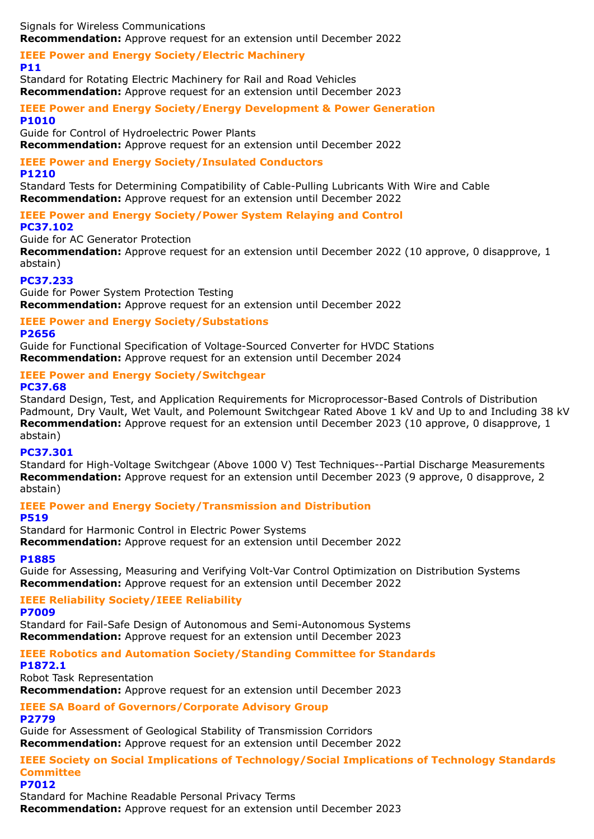Signals for Wireless Communications **Recommendation:** Approve request for an extension until December 2022

#### **IEEE Power and Energy Society/Electric Machinery P11**

Standard for Rotating Electric Machinery for Rail and Road Vehicles **Recommendation:** Approve request for an extension until December 2023

### **IEEE Power and Energy Society/Energy Development & Power Generation P1010**

Guide for Control of Hydroelectric Power Plants **Recommendation:** Approve request for an extension until December 2022

## **IEEE Power and Energy Society/Insulated Conductors**

#### **P1210**

Standard Tests for Determining Compatibility of Cable-Pulling Lubricants With Wire and Cable **Recommendation:** Approve request for an extension until December 2022

**IEEE Power and Energy Society/Power System Relaying and Control PC37.102**

### Guide for AC Generator Protection

**Recommendation:** Approve request for an extension until December 2022 (10 approve, 0 disapprove, 1 abstain)

### **PC37.233**

Guide for Power System Protection Testing **Recommendation:** Approve request for an extension until December 2022

### **IEEE Power and Energy Society/Substations**

#### **P2656**

Guide for Functional Specification of Voltage-Sourced Converter for HVDC Stations **Recommendation:** Approve request for an extension until December 2024

### **IEEE Power and Energy Society/Switchgear**

**PC37.68**

Standard Design, Test, and Application Requirements for Microprocessor-Based Controls of Distribution Padmount, Dry Vault, Wet Vault, and Polemount Switchgear Rated Above 1 kV and Up to and Including 38 kV **Recommendation:** Approve request for an extension until December 2023 (10 approve, 0 disapprove, 1 abstain)

### **PC37.301**

Standard for High-Voltage Switchgear (Above 1000 V) Test Techniques--Partial Discharge Measurements **Recommendation:** Approve request for an extension until December 2023 (9 approve, 0 disapprove, 2 abstain)

## **IEEE Power and Energy Society/Transmission and Distribution**

**P519**

Standard for Harmonic Control in Electric Power Systems

**Recommendation:** Approve request for an extension until December 2022

### **P1885**

Guide for Assessing, Measuring and Verifying Volt-Var Control Optimization on Distribution Systems **Recommendation:** Approve request for an extension until December 2022

### **IEEE Reliability Society/IEEE Reliability**

**P7009**

Standard for Fail-Safe Design of Autonomous and Semi-Autonomous Systems **Recommendation:** Approve request for an extension until December 2023

## **IEEE Robotics and Automation Society/Standing Committee for Standards**

**P1872.1**

Robot Task Representation

**Recommendation:** Approve request for an extension until December 2023

**IEEE SA Board of Governors/Corporate Advisory Group**

#### **P2779**

Guide for Assessment of Geological Stability of Transmission Corridors **Recommendation:** Approve request for an extension until December 2022

#### **IEEE Society on Social Implications of Technology/Social Implications of Technology Standards Committee P7012**

Standard for Machine Readable Personal Privacy Terms **Recommendation:** Approve request for an extension until December 2023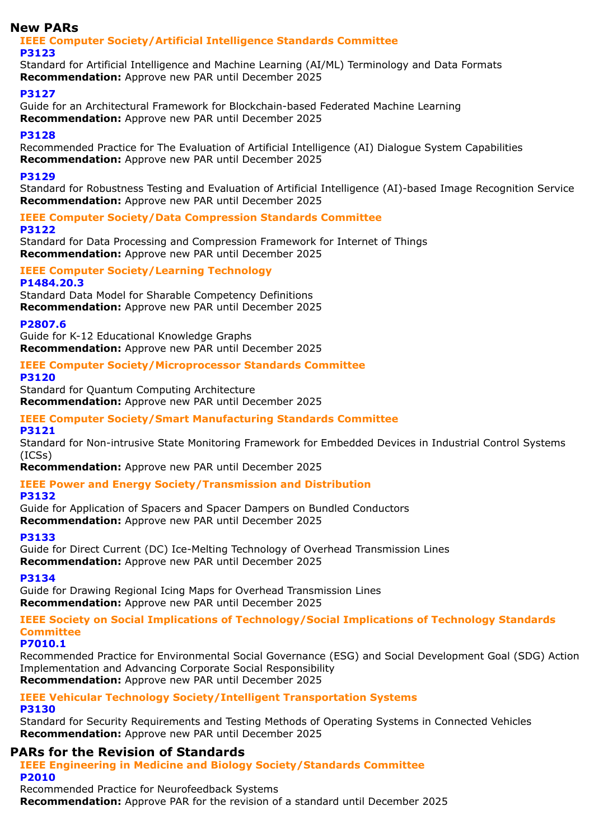## **New PARs**

#### **IEEE Computer Society/Artificial Intelligence Standards Committee P3123**

Standard for Artificial Intelligence and Machine Learning (AI/ML) Terminology and Data Formats **Recommendation:** Approve new PAR until December 2025

### **P3127**

Guide for an Architectural Framework for Blockchain-based Federated Machine Learning **Recommendation:** Approve new PAR until December 2025

### **P3128**

Recommended Practice for The Evaluation of Artificial Intelligence (AI) Dialogue System Capabilities **Recommendation:** Approve new PAR until December 2025

### **P3129**

Standard for Robustness Testing and Evaluation of Artificial Intelligence (AI)-based Image Recognition Service **Recommendation:** Approve new PAR until December 2025

#### **IEEE Computer Society/Data Compression Standards Committee P3122**

Standard for Data Processing and Compression Framework for Internet of Things **Recommendation:** Approve new PAR until December 2025

#### **IEEE Computer Society/Learning Technology P1484.20.3**

Standard Data Model for Sharable Competency Definitions **Recommendation:** Approve new PAR until December 2025

### **P2807.6**

Guide for K-12 Educational Knowledge Graphs **Recommendation:** Approve new PAR until December 2025

#### **IEEE Computer Society/Microprocessor Standards Committee P3120**

Standard for Quantum Computing Architecture **Recommendation:** Approve new PAR until December 2025

## **IEEE Computer Society/Smart Manufacturing Standards Committee**

#### **P3121**

Standard for Non-intrusive State Monitoring Framework for Embedded Devices in Industrial Control Systems (ICSs)

**Recommendation:** Approve new PAR until December 2025

## **IEEE Power and Energy Society/Transmission and Distribution**

### **P3132**

Guide for Application of Spacers and Spacer Dampers on Bundled Conductors **Recommendation:** Approve new PAR until December 2025

### **P3133**

Guide for Direct Current (DC) Ice-Melting Technology of Overhead Transmission Lines **Recommendation:** Approve new PAR until December 2025

### **P3134**

Guide for Drawing Regional Icing Maps for Overhead Transmission Lines **Recommendation:** Approve new PAR until December 2025

### **IEEE Society on Social Implications of Technology/Social Implications of Technology Standards Committee**

### **P7010.1**

Recommended Practice for Environmental Social Governance (ESG) and Social Development Goal (SDG) Action Implementation and Advancing Corporate Social Responsibility **Recommendation:** Approve new PAR until December 2025

## **IEEE Vehicular Technology Society/Intelligent Transportation Systems**

### **P3130**

Standard for Security Requirements and Testing Methods of Operating Systems in Connected Vehicles **Recommendation:** Approve new PAR until December 2025

## **PARs for the Revision of Standards**

**IEEE Engineering in Medicine and Biology Society/Standards Committee P2010**

Recommended Practice for Neurofeedback Systems

**Recommendation:** Approve PAR for the revision of a standard until December 2025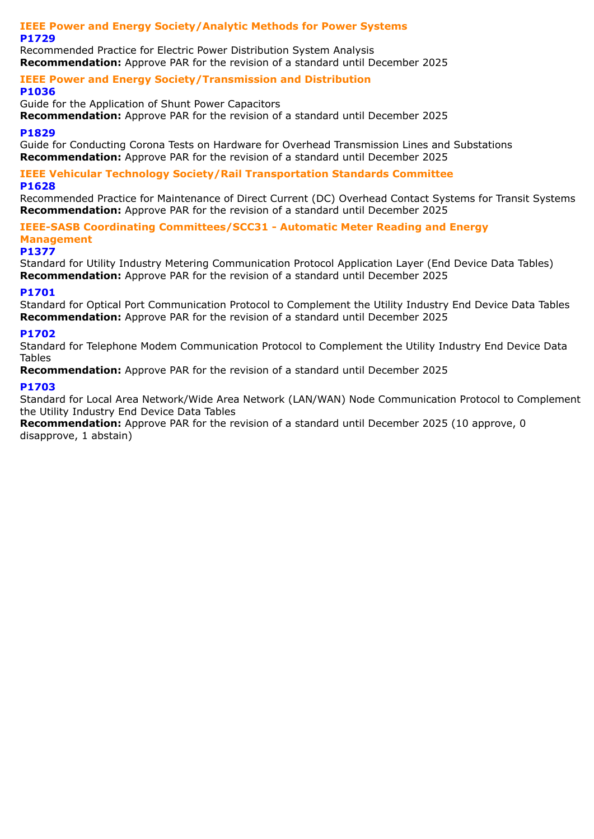#### **IEEE Power and Energy Society/Analytic Methods for Power Systems P1729**

Recommended Practice for Electric Power Distribution System Analysis **Recommendation:** Approve PAR for the revision of a standard until December 2025

# **IEEE Power and Energy Society/Transmission and Distribution**

### **P1036**

Guide for the Application of Shunt Power Capacitors **Recommendation:** Approve PAR for the revision of a standard until December 2025

### **P1829**

Guide for Conducting Corona Tests on Hardware for Overhead Transmission Lines and Substations **Recommendation:** Approve PAR for the revision of a standard until December 2025

#### **IEEE Vehicular Technology Society/Rail Transportation Standards Committee P1628**

Recommended Practice for Maintenance of Direct Current (DC) Overhead Contact Systems for Transit Systems **Recommendation:** Approve PAR for the revision of a standard until December 2025

**IEEE-SASB Coordinating Committees/SCC31 - Automatic Meter Reading and Energy Management**

#### **P1377**

Standard for Utility Industry Metering Communication Protocol Application Layer (End Device Data Tables) **Recommendation:** Approve PAR for the revision of a standard until December 2025

### **P1701**

Standard for Optical Port Communication Protocol to Complement the Utility Industry End Device Data Tables **Recommendation:** Approve PAR for the revision of a standard until December 2025

### **P1702**

Standard for Telephone Modem Communication Protocol to Complement the Utility Industry End Device Data Tables

**Recommendation:** Approve PAR for the revision of a standard until December 2025

### **P1703**

Standard for Local Area Network/Wide Area Network (LAN/WAN) Node Communication Protocol to Complement the Utility Industry End Device Data Tables

**Recommendation:** Approve PAR for the revision of a standard until December 2025 (10 approve, 0 disapprove, 1 abstain)